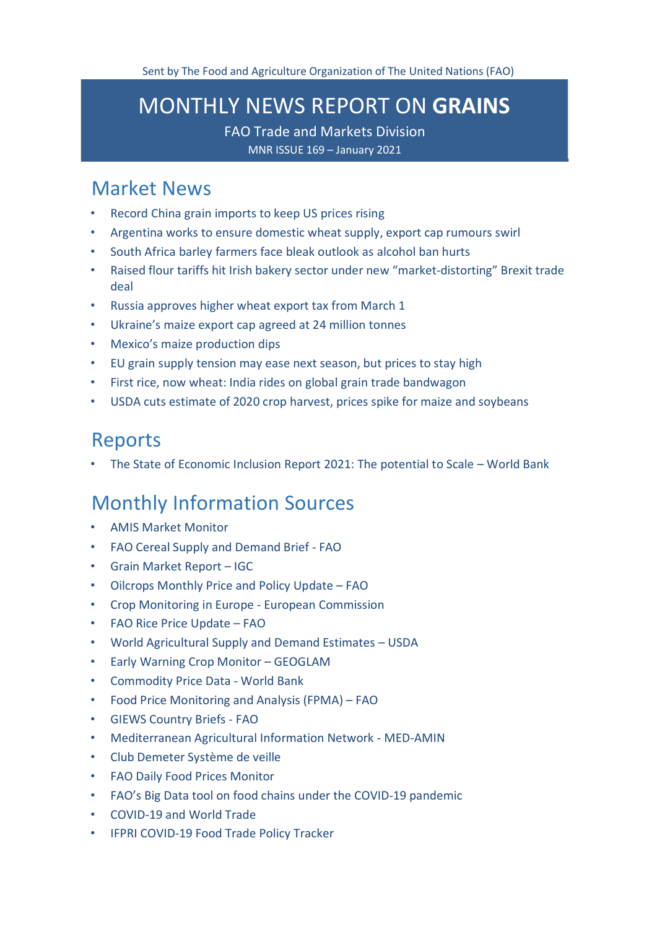# <span id="page-0-0"></span>MONTHLY NEWS REPORT ON **GRAINS**

FAO Trade and Markets Division MNR ISSUE 169 – January 2021

### [Market News](#page-1-0)

- [Record China grain imports to keep US prices rising](#page-1-1)
- [Argentina works to ensure domestic wheat supply, export cap rumours](#page-1-2) swirl
- [South Africa barley farmers face bleak outlook as alcohol ban hurts](#page-2-0)
- [Raised flour tariffs hit Irish bakery sector under new "market-distorting" Brexit trade](#page-3-0)  [deal](#page-3-0)
- [Russia approves higher wheat export tax from March 1](#page-4-0)
- [Ukraine's maize export cap agreed at 24 million tonnes](#page-5-0)
- [Mexico's maize production dips](#page-5-1)
- [EU grain supply tension may ease next season, but prices to stay high](#page-6-0)
- First rice, now wheat: India [rides on global grain trade bandwagon](#page-6-1)
- [USDA cuts estimate of 2020 crop harvest, prices spike for maize and soybeans](#page-8-0)

### [Reports](#page-8-1)

• [The State of Economic Inclusion Report 2021: The potential to Scale –](#page-9-0) World Bank

### [Monthly Information Sources](#page-9-1)

- [AMIS Market](http://www.amis-outlook.org/amis-monitoring#.XoMGLIgzZPY) Monitor
- [FAO Cereal Supply and Demand Brief -](http://www.fao.org/worldfoodsituation/csdb/en/) FAO
- [Grain Market Report –](http://www.igc.int/downloads/gmrsummary/gmrsumme.pdf) [IGC](http://www.igc.int/downloads/gmrsummary/gmrsumme.pdf)
- [Oilcrops Monthly Price and Policy Update –](http://www.fao.org/3/cb2931en/cb2931en.pdf) FAO
- [Crop Monitoring in Europe -](https://ec.europa.eu/jrc/sites/jrcsh/files/jrc-mars-bulletin-vol29-no1.pdf) European Commission
- [FAO Rice Price Update –](http://www.fao.org/economic/est/publications/rice-publications/the-fao-rice-price-update/it/) FAO
- [World Agricultural Supply and Demand Estimates –](https://www.usda.gov/oce/commodity/wasde/wasde0121.pdf) USDA
- [Early Warning Crop Monitor –](https://cropmonitor.org/index.php/cmreports/earlywarning-report/) GEOGLAM
- [Commodity Price Data -](http://pubdocs.worldbank.org/en/854731609876300889/CMO-Pink-Sheet-January-2021.pdf) World Bank
- [Food Price Monitoring and Analysis \(FPMA\) –](http://www.fao.org/3/cb2424en/cb2424en.pdf) FAO
- [GIEWS Country Briefs -](http://www.fao.org/giews/countrybrief/index.jsp) [FAO](http://www.fao.org/giews/countrybrief/index.jsp)
- [Mediterranean Agricultural Information Network -](https://www.scoop.it/topic/med-amin) MED-AMIN
- [Club Demeter Système de](https://www.scoop.it/u/club-demeter) veille
- [FAO Daily Food Prices](https://datalab.review.fao.org/dailyprices.html) Monitor
- [FAO's Big Data tool on food chains under the COVID-19](https://datalab.review.fao.org/) pandemic
- [COVID-19 and World](https://www.wto.org/english/tratop_e/covid19_e/covid19_e.htm) Trade
- [IFPRI COVID-19 Food Trade Policy](https://www.ifpri.org/project/covid-19-food-trade-policy-tracker) Tracker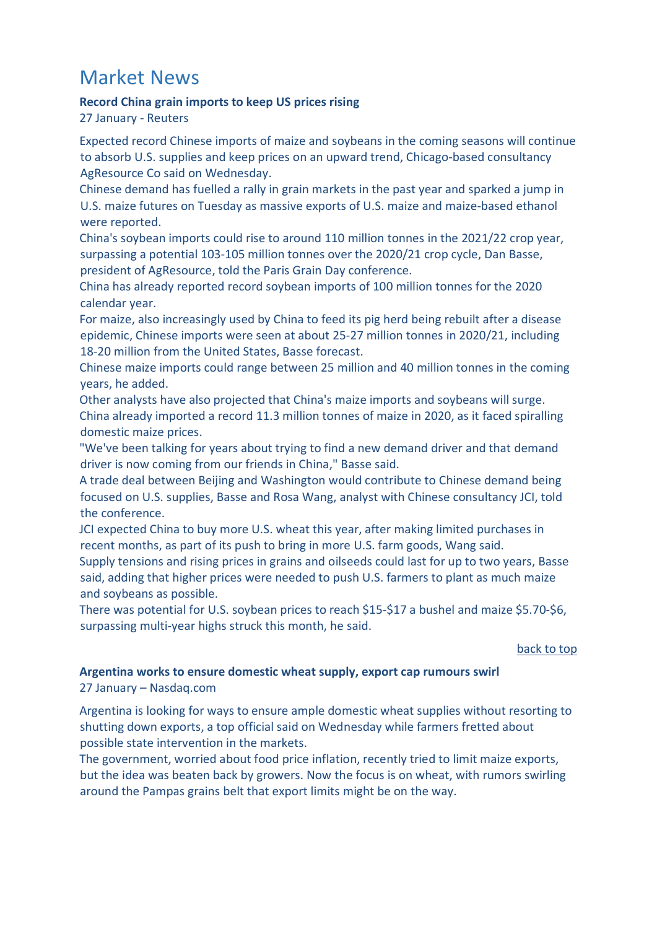# <span id="page-1-0"></span>Market News

#### <span id="page-1-1"></span>**Record China grain imports to keep US prices rising**

27 January - Reuters

Expected record Chinese imports of maize and soybeans in the coming seasons will continue to absorb U.S. supplies and keep prices on an upward trend, Chicago-based consultancy AgResource Co said on Wednesday.

Chinese demand has fuelled a rally in grain markets in the past year and sparked a jump in U.S. maize futures on Tuesday as massive exports of U.S. maize and maize-based ethanol were reported.

China's soybean imports could rise to around 110 million tonnes in the 2021/22 crop year, surpassing a potential 103-105 million tonnes over the 2020/21 crop cycle, Dan Basse, president of AgResource, told the Paris Grain Day conference.

China has already reported record soybean imports of 100 million tonnes for the 2020 calendar year.

For maize, also increasingly used by China to feed its pig herd being rebuilt after a disease epidemic, Chinese imports were seen at about 25-27 million tonnes in 2020/21, including 18-20 million from the United States, Basse forecast.

Chinese maize imports could range between 25 million and 40 million tonnes in the coming years, he added.

Other analysts have also projected that China's maize imports and soybeans will surge. China already imported a record 11.3 million tonnes of maize in 2020, as it faced spiralling domestic maize prices.

"We've been talking for years about trying to find a new demand driver and that demand driver is now coming from our friends in China," Basse said.

A trade deal between Beijing and Washington would contribute to Chinese demand being focused on U.S. supplies, Basse and Rosa Wang, analyst with Chinese consultancy JCI, told the conference.

JCI expected China to buy more U.S. wheat this year, after making limited purchases in recent months, as part of its push to bring in more U.S. farm goods, Wang said.

Supply tensions and rising prices in grains and oilseeds could last for up to two years, Basse said, adding that higher prices were needed to push U.S. farmers to plant as much maize and soybeans as possible.

There was potential for U.S. soybean prices to reach \$15-\$17 a bushel and maize \$5.70-\$6, surpassing multi-year highs struck this month, he said.

#### [back to top](#page-0-0)

#### <span id="page-1-2"></span>**Argentina works to ensure domestic wheat supply, export cap rumours swirl** 27 January – Nasdaq.com

Argentina is looking for ways to ensure ample domestic wheat supplies without resorting to shutting down exports, a top official said on Wednesday while farmers fretted about possible state intervention in the markets.

The government, worried about food price inflation, recently tried to limit maize exports, but the idea was beaten back by growers. Now the focus is on wheat, with rumors swirling around the Pampas grains belt that export limits might be on the way.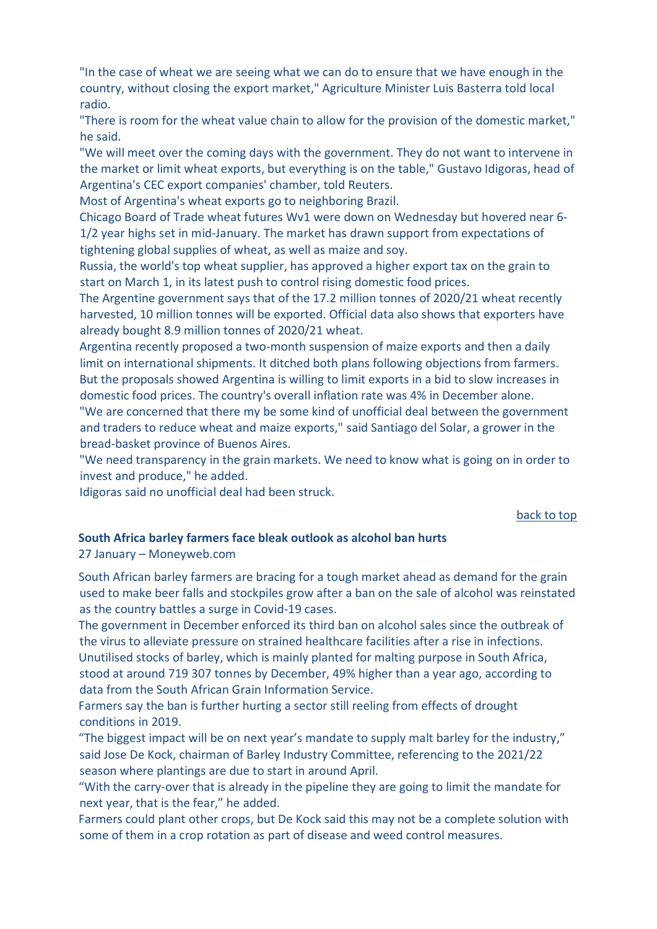"In the case of wheat we are seeing what we can do to ensure that we have enough in the country, without closing the export market," Agriculture Minister Luis Basterra told local radio.

"There is room for the wheat value chain to allow for the provision of the domestic market," he said.

"We will meet over the coming days with the government. They do not want to intervene in the market or limit wheat exports, but everything is on the table," Gustavo Idigoras, head of Argentina's CEC export companies' chamber, told Reuters.

Most of Argentina's wheat exports go to neighboring Brazil.

Chicago Board of Trade wheat futures Wv1 were down on Wednesday but hovered near 6- 1/2 year highs set in mid-January. The market has drawn support from expectations of tightening global supplies of wheat, as well as maize and soy.

Russia, the world's top wheat supplier, has approved a higher export tax on the grain to start on March 1, in its latest push to control rising domestic food prices.

The Argentine government says that of the 17.2 million tonnes of 2020/21 wheat recently harvested, 10 million tonnes will be exported. Official data also shows that exporters have already bought 8.9 million tonnes of 2020/21 wheat.

Argentina recently proposed a two-month suspension of maize exports and then a daily limit on international shipments. It ditched both plans following objections from farmers. But the proposals showed Argentina is willing to limit exports in a bid to slow increases in domestic food prices. The country's overall inflation rate was 4% in December alone.

"We are concerned that there my be some kind of unofficial deal between the government and traders to reduce wheat and maize exports," said Santiago del Solar, a grower in the bread-basket province of Buenos Aires.

"We need transparency in the grain markets. We need to know what is going on in order to invest and produce," he added.

Idigoras said no unofficial deal had been struck.

#### [back to top](#page-0-0)

#### <span id="page-2-0"></span>**South Africa barley farmers face bleak outlook as alcohol ban hurts**

#### 27 January – Moneyweb.com

South African barley farmers are bracing for a tough market ahead as demand for the grain used to make beer falls and stockpiles grow after a ban on the sale of alcohol was reinstated as the country battles a surge in Covid-19 cases.

The government in December enforced its third ban on alcohol sales since the outbreak of the virus to alleviate pressure on strained healthcare facilities after a rise in infections. Unutilised stocks of barley, which is mainly planted for malting purpose in South Africa, stood at around 719 307 tonnes by December, 49% higher than a year ago, according to data from the South African Grain Information Service.

Farmers say the ban is further hurting a sector still reeling from effects of drought conditions in 2019.

"The biggest impact will be on next year's mandate to supply malt barley for the industry," said Jose De Kock, chairman of Barley Industry Committee, referencing to the 2021/22 season where plantings are due to start in around April.

"With the carry-over that is already in the pipeline they are going to limit the mandate for next year, that is the fear," he added.

Farmers could plant other crops, but De Kock said this may not be a complete solution with some of them in a crop rotation as part of disease and weed control measures.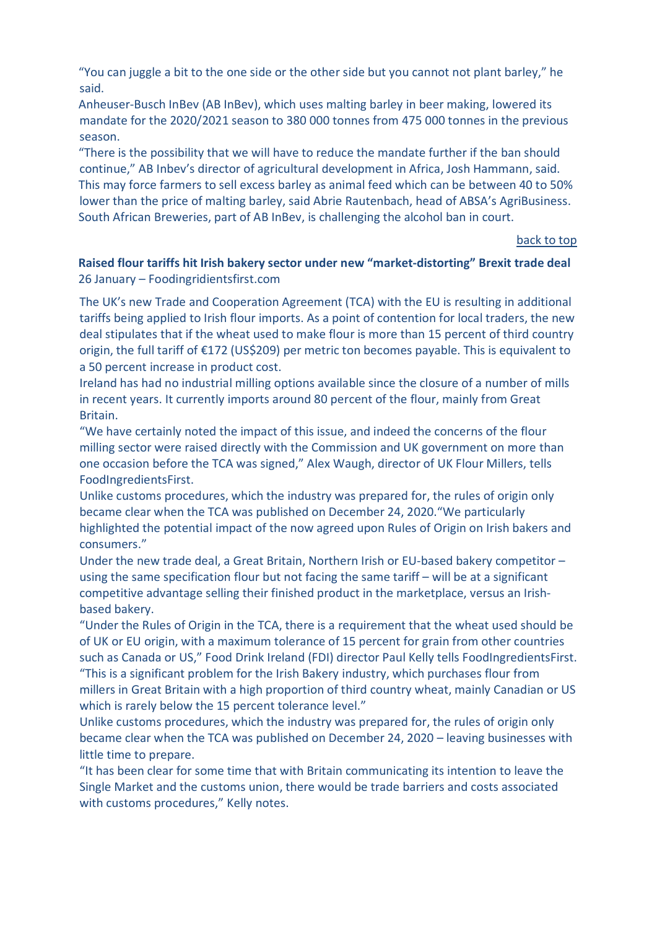"You can juggle a bit to the one side or the other side but you cannot not plant barley," he said.

Anheuser-Busch InBev (AB InBev), which uses malting barley in beer making, lowered its mandate for the 2020/2021 season to 380 000 tonnes from 475 000 tonnes in the previous season.

"There is the possibility that we will have to reduce the mandate further if the ban should continue," AB Inbev's director of agricultural development in Africa, Josh Hammann, said. This may force farmers to sell excess barley as animal feed which can be between 40 to 50% lower than the price of malting barley, said Abrie Rautenbach, head of ABSA's AgriBusiness. South African Breweries, part of AB InBev, is challenging the alcohol ban in court.

#### [back to top](#page-0-0)

<span id="page-3-0"></span>**Raised flour tariffs hit Irish bakery sector under new "market-distorting" Brexit trade deal** 26 January – Foodingridientsfirst.com

The UK's new Trade and Cooperation Agreement (TCA) with the EU is resulting in additional tariffs being applied to Irish flour imports. As a point of contention for local traders, the new deal stipulates that if the wheat used to make flour is more than 15 percent of third country origin, the full tariff of €172 (US\$209) per metric ton becomes payable. This is equivalent to a 50 percent increase in product cost.

Ireland has had no industrial milling options available since the closure of a number of mills in recent years. It currently imports around 80 percent of the flour, mainly from Great Britain.

"We have certainly noted the impact of this issue, and indeed the concerns of the flour milling sector were raised directly with the Commission and UK government on more than one occasion before the TCA was signed," Alex Waugh, director of UK Flour Millers, tells FoodIngredientsFirst.

Unlike customs procedures, which the industry was prepared for, the rules of origin only became clear when the TCA was published on December 24, 2020."We particularly highlighted the potential impact of the now agreed upon Rules of Origin on Irish bakers and consumers."

Under the new trade deal, a Great Britain, Northern Irish or EU-based bakery competitor – using the same specification flour but not facing the same tariff – will be at a significant competitive advantage selling their finished product in the marketplace, versus an Irishbased bakery.

"Under the Rules of Origin in the TCA, there is a requirement that the wheat used should be of UK or EU origin, with a maximum tolerance of 15 percent for grain from other countries such as Canada or US," Food Drink Ireland (FDI) director Paul Kelly tells FoodIngredientsFirst. "This is a significant problem for the Irish Bakery industry, which purchases flour from millers in Great Britain with a high proportion of third country wheat, mainly Canadian or US which is rarely below the 15 percent tolerance level."

Unlike customs procedures, which the industry was prepared for, the rules of origin only became clear when the TCA was published on December 24, 2020 – leaving businesses with little time to prepare.

"It has been clear for some time that with Britain communicating its intention to leave the Single Market and the customs union, there would be trade barriers and costs associated with customs procedures," Kelly notes.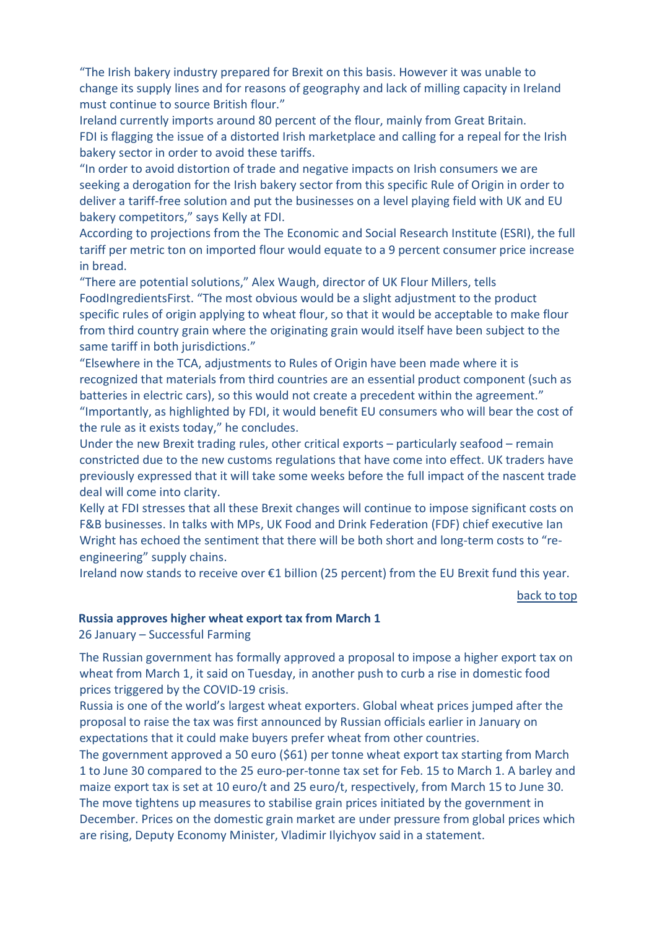"The Irish bakery industry prepared for Brexit on this basis. However it was unable to change its supply lines and for reasons of geography and lack of milling capacity in Ireland must continue to source British flour."

Ireland currently imports around 80 percent of the flour, mainly from Great Britain. FDI is flagging the issue of a distorted Irish marketplace and calling for a repeal for the Irish bakery sector in order to avoid these tariffs.

"In order to avoid distortion of trade and negative impacts on Irish consumers we are seeking a derogation for the Irish bakery sector from this specific Rule of Origin in order to deliver a tariff-free solution and put the businesses on a level playing field with UK and EU bakery competitors," says Kelly at FDI.

According to projections from the The Economic and Social Research Institute (ESRI), the full tariff per metric ton on imported flour would equate to a 9 percent consumer price increase in bread.

"There are potential solutions," Alex Waugh, director of UK Flour Millers, tells FoodIngredientsFirst. "The most obvious would be a slight adjustment to the product specific rules of origin applying to wheat flour, so that it would be acceptable to make flour from third country grain where the originating grain would itself have been subject to the same tariff in both jurisdictions."

"Elsewhere in the TCA, adjustments to Rules of Origin have been made where it is recognized that materials from third countries are an essential product component (such as batteries in electric cars), so this would not create a precedent within the agreement." "Importantly, as highlighted by FDI, it would benefit EU consumers who will bear the cost of the rule as it exists today," he concludes.

Under the new Brexit trading rules, other critical exports – particularly seafood – remain constricted due to the new customs regulations that have come into effect. UK traders have previously expressed that it will take some weeks before the full impact of the nascent trade deal will come into clarity.

Kelly at FDI stresses that all these Brexit changes will continue to impose significant costs on F&B businesses. In talks with MPs, UK Food and Drink Federation (FDF) chief executive Ian Wright has echoed the sentiment that there will be both short and long-term costs to "reengineering" supply chains.

Ireland now stands to receive over €1 billion (25 percent) from the EU Brexit fund this year.

[back to top](#page-0-0) 

#### <span id="page-4-0"></span>**Russia approves higher wheat export tax from March 1**

26 January – Successful Farming

The Russian government has formally approved a proposal to impose a higher export tax on wheat from March 1, it said on Tuesday, in another push to curb a rise in domestic food prices triggered by the COVID-19 crisis.

Russia is one of the world's largest wheat exporters. Global wheat prices jumped after the proposal to raise the tax was first announced by Russian officials earlier in January on expectations that it could make buyers prefer wheat from other countries.

The government approved a 50 euro (\$61) per tonne wheat export tax starting from March 1 to June 30 compared to the 25 euro-per-tonne tax set for Feb. 15 to March 1. A barley and maize export tax is set at 10 euro/t and 25 euro/t, respectively, from March 15 to June 30. The move tightens up measures to stabilise grain prices initiated by the government in December. Prices on the domestic grain market are under pressure from global prices which are rising, Deputy Economy Minister, Vladimir Ilyichyov said in a statement.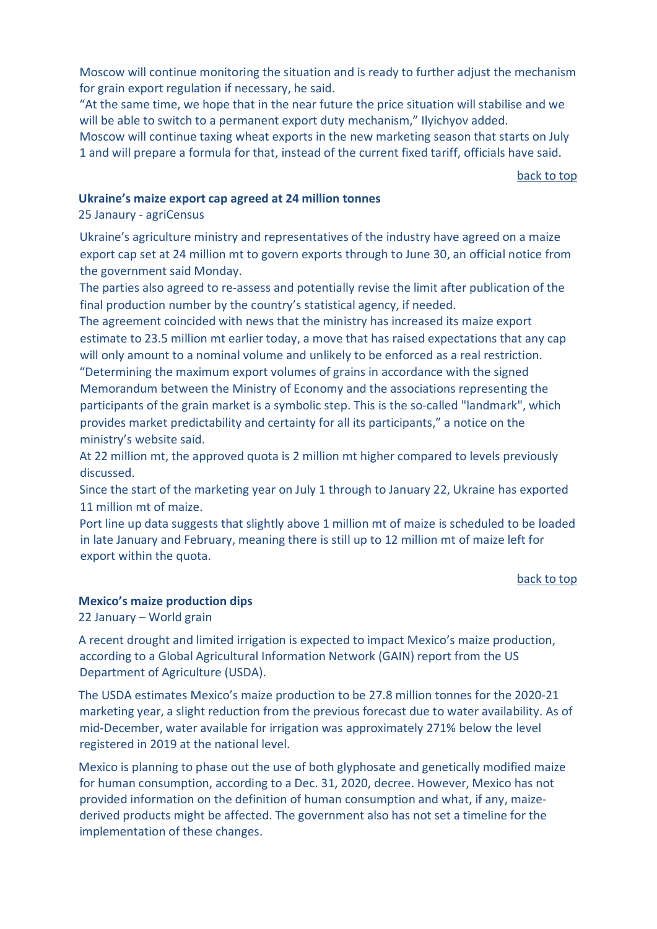Moscow will continue monitoring the situation and is ready to further adjust the mechanism for grain export regulation if necessary, he said.

"At the same time, we hope that in the near future the price situation will stabilise and we will be able to switch to a permanent export duty mechanism," Ilyichyov added. Moscow will continue taxing wheat exports in the new marketing season that starts on July 1 and will prepare a formula for that, instead of the current fixed tariff, officials have said.

[back to top](#page-0-0) 

#### <span id="page-5-0"></span>**Ukraine's maize export cap agreed at 24 million tonnes**

25 Janaury - agriCensus

Ukraine's agriculture ministry and representatives of the industry have agreed on a maize export cap set at 24 million mt to govern exports through to June 30, an official notice from the government said Monday.

The parties also agreed to re-assess and potentially revise the limit after publication of the final production number by the country's statistical agency, if needed.

The agreement coincided with news that the ministry has increased its maize export estimate to 23.5 million mt earlier today, a move that has raised expectations that any cap will only amount to a nominal volume and unlikely to be enforced as a real restriction. "Determining the maximum export volumes of grains in accordance with the signed Memorandum between the Ministry of Economy and the associations representing the participants of the grain market is a symbolic step. This is the so-called "landmark", which provides market predictability and certainty for all its participants," a notice on the ministry's website said.

At 22 million mt, the approved quota is 2 million mt higher compared to levels previously discussed.

Since the start of the marketing year on July 1 through to January 22, Ukraine has exported 11 million mt of maize.

Port line up data suggests that slightly above 1 million mt of maize is scheduled to be loaded in late January and February, meaning there is still up to 12 million mt of maize left for export within the quota.

#### [back to top](#page-0-0)

#### <span id="page-5-1"></span>**Mexico's maize production dips**

22 January – World grain

A recent drought and limited irrigation is expected to impact Mexico's maize production, according to a Global Agricultural Information Network (GAIN) report from the US Department of Agriculture (USDA).

The USDA estimates Mexico's maize production to be 27.8 million tonnes for the 2020-21 marketing year, a slight reduction from the previous forecast due to water availability. As of mid-December, water available for irrigation was approximately 271% below the level registered in 2019 at the national level.

Mexico is planning to phase out the use of both glyphosate and genetically modified maize for human consumption, according to a Dec. 31, 2020, decree. However, Mexico has not provided information on the definition of human consumption and what, if any, maizederived products might be affected. The government also has not set a timeline for the implementation of these changes.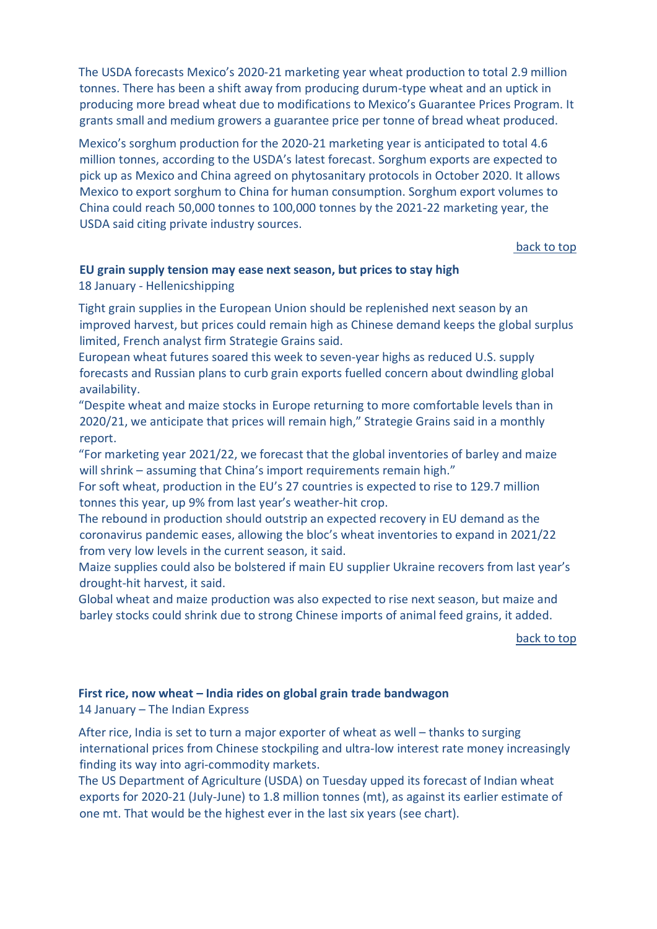The USDA forecasts Mexico's 2020-21 marketing year wheat production to total 2.9 million tonnes. There has been a shift away from producing durum-type wheat and an uptick in producing more bread wheat due to modifications to Mexico's Guarantee Prices Program. It grants small and medium growers a guarantee price per tonne of bread wheat produced.

Mexico's sorghum production for the 2020-21 marketing year is anticipated to total 4.6 million tonnes, according to the USDA's latest forecast. Sorghum exports are expected to pick up as Mexico and China agreed on phytosanitary protocols in October 2020. It allows Mexico to export sorghum to China for human consumption. Sorghum export volumes to China could reach 50,000 tonnes to 100,000 tonnes by the 2021-22 marketing year, the USDA said citing private industry sources.

[back to top](#page-0-0) 

### <span id="page-6-0"></span>**EU grain supply tension may ease next season, but prices to stay high**

#### 18 January - Hellenicshipping

Tight grain supplies in the European Union should be replenished next season by an improved harvest, but prices could remain high as Chinese demand keeps the global surplus limited, French analyst firm Strategie Grains said.

European wheat futures soared this week to seven-year highs as reduced U.S. supply forecasts and Russian plans to curb grain exports fuelled concern about dwindling global availability.

"Despite wheat and maize stocks in Europe returning to more comfortable levels than in 2020/21, we anticipate that prices will remain high," Strategie Grains said in a monthly report.

"For marketing year 2021/22, we forecast that the global inventories of barley and maize will shrink – assuming that China's import requirements remain high."

For soft wheat, production in the EU's 27 countries is expected to rise to 129.7 million tonnes this year, up 9% from last year's weather-hit crop.

The rebound in production should outstrip an expected recovery in EU demand as the coronavirus pandemic eases, allowing the bloc's wheat inventories to expand in 2021/22 from very low levels in the current season, it said.

Maize supplies could also be bolstered if main EU supplier Ukraine recovers from last year's drought-hit harvest, it said.

Global wheat and maize production was also expected to rise next season, but maize and barley stocks could shrink due to strong Chinese imports of animal feed grains, it added.

[back to top](#page-0-0) 

#### <span id="page-6-1"></span>**First rice, now wheat – India rides on global grain trade bandwagon** 14 January – The Indian Express

After rice, India is set to turn a major exporter of wheat as well – thanks to surging international prices from Chinese stockpiling and ultra-low interest rate money increasingly finding its way into agri-commodity markets.

The US Department of Agriculture (USDA) on Tuesday upped its forecast of Indian wheat exports for 2020-21 (July-June) to 1.8 million tonnes (mt), as against its earlier estimate of one mt. That would be the highest ever in the last six years (see chart).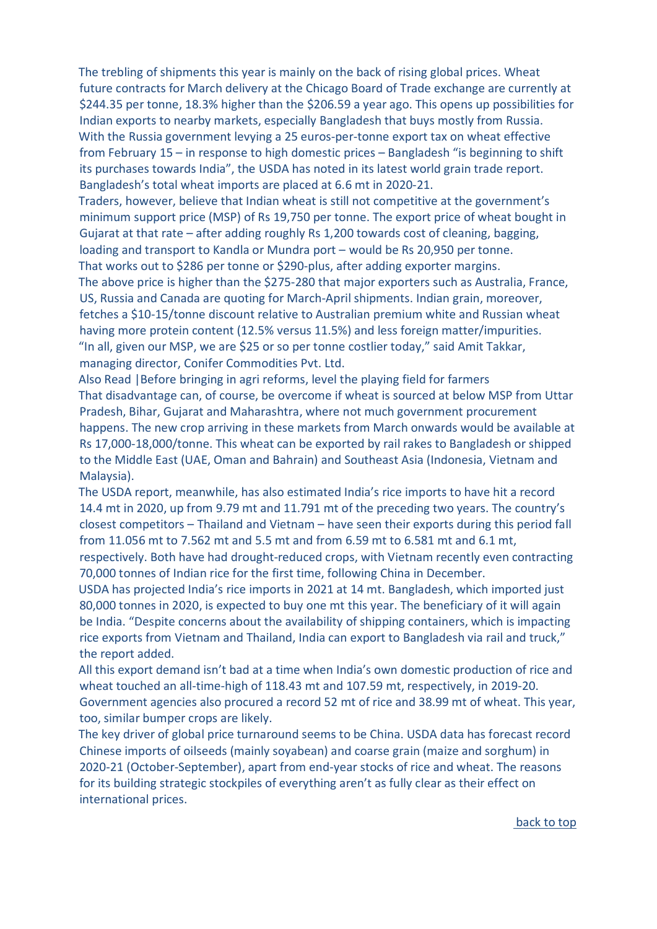The trebling of shipments this year is mainly on the back of rising global prices. Wheat future contracts for March delivery at the Chicago Board of Trade exchange are currently at \$244.35 per tonne, 18.3% higher than the \$206.59 a year ago. This opens up possibilities for Indian exports to nearby markets, especially Bangladesh that buys mostly from Russia. With the Russia government levying a 25 euros-per-tonne export tax on wheat effective from February 15 – in response to high domestic prices – Bangladesh "is beginning to shift its purchases towards India", the USDA has noted in its latest world grain trade report. Bangladesh's total wheat imports are placed at 6.6 mt in 2020-21.

Traders, however, believe that Indian wheat is still not competitive at the government's minimum support price (MSP) of Rs 19,750 per tonne. The export price of wheat bought in Gujarat at that rate – after adding roughly Rs 1,200 towards cost of cleaning, bagging, loading and transport to Kandla or Mundra port – would be Rs 20,950 per tonne. That works out to \$286 per tonne or \$290-plus, after adding exporter margins. The above price is higher than the \$275-280 that major exporters such as Australia, France, US, Russia and Canada are quoting for March-April shipments. Indian grain, moreover, fetches a \$10-15/tonne discount relative to Australian premium white and Russian wheat

having more protein content (12.5% versus 11.5%) and less foreign matter/impurities. "In all, given our MSP, we are \$25 or so per tonne costlier today," said Amit Takkar, managing director, Conifer Commodities Pvt. Ltd.

Also Read |Before bringing in agri reforms, level the playing field for farmers That disadvantage can, of course, be overcome if wheat is sourced at below MSP from Uttar Pradesh, Bihar, Gujarat and Maharashtra, where not much government procurement happens. The new crop arriving in these markets from March onwards would be available at Rs 17,000-18,000/tonne. This wheat can be exported by rail rakes to Bangladesh or shipped to the Middle East (UAE, Oman and Bahrain) and Southeast Asia (Indonesia, Vietnam and Malaysia).

The USDA report, meanwhile, has also estimated India's rice imports to have hit a record 14.4 mt in 2020, up from 9.79 mt and 11.791 mt of the preceding two years. The country's closest competitors – Thailand and Vietnam – have seen their exports during this period fall from 11.056 mt to 7.562 mt and 5.5 mt and from 6.59 mt to 6.581 mt and 6.1 mt, respectively. Both have had drought-reduced crops, with Vietnam recently even contracting

70,000 tonnes of Indian rice for the first time, following China in December. USDA has projected India's rice imports in 2021 at 14 mt. Bangladesh, which imported just

80,000 tonnes in 2020, is expected to buy one mt this year. The beneficiary of it will again be India. "Despite concerns about the availability of shipping containers, which is impacting rice exports from Vietnam and Thailand, India can export to Bangladesh via rail and truck," the report added.

All this export demand isn't bad at a time when India's own domestic production of rice and wheat touched an all-time-high of 118.43 mt and 107.59 mt, respectively, in 2019-20. Government agencies also procured a record 52 mt of rice and 38.99 mt of wheat. This year, too, similar bumper crops are likely.

The key driver of global price turnaround seems to be China. USDA data has forecast record Chinese imports of oilseeds (mainly soyabean) and coarse grain (maize and sorghum) in 2020-21 (October-September), apart from end-year stocks of rice and wheat. The reasons for its building strategic stockpiles of everything aren't as fully clear as their effect on international prices.

[back to top](#page-0-0)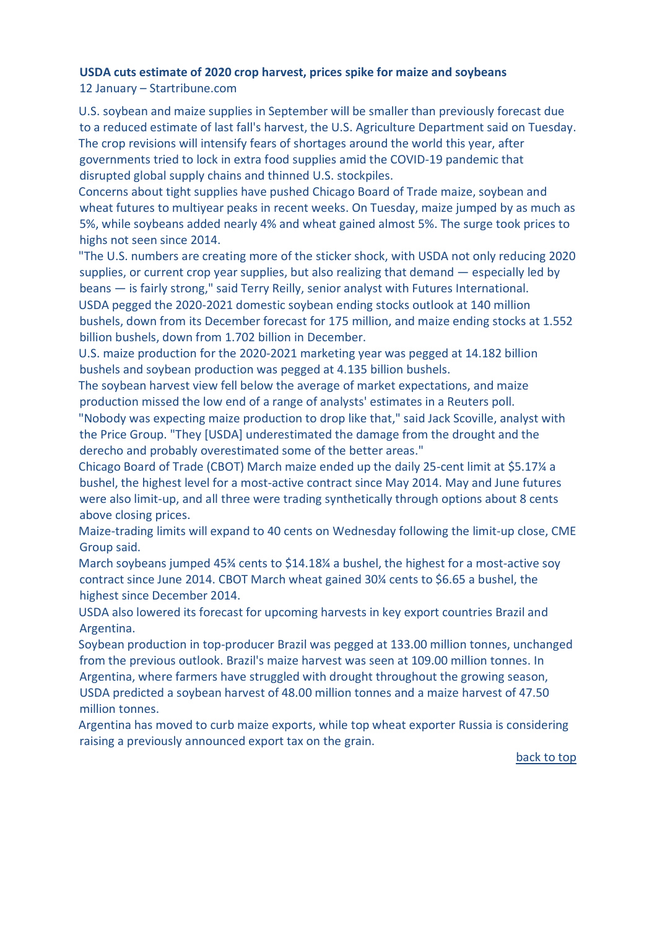#### <span id="page-8-0"></span>**USDA cuts estimate of 2020 crop harvest, prices spike for maize and soybeans** 12 January – Startribune.com

U.S. soybean and maize supplies in September will be smaller than previously forecast due to a reduced estimate of last fall's harvest, the U.S. Agriculture Department said on Tuesday. The crop revisions will intensify fears of shortages around the world this year, after governments tried to lock in extra food supplies amid the COVID-19 pandemic that disrupted global supply chains and thinned U.S. stockpiles.

Concerns about tight supplies have pushed Chicago Board of Trade maize, soybean and wheat futures to multiyear peaks in recent weeks. On Tuesday, maize jumped by as much as 5%, while soybeans added nearly 4% and wheat gained almost 5%. The surge took prices to highs not seen since 2014.

"The U.S. numbers are creating more of the sticker shock, with USDA not only reducing 2020 supplies, or current crop year supplies, but also realizing that demand — especially led by beans — is fairly strong," said Terry Reilly, senior analyst with Futures International. USDA pegged the 2020-2021 domestic soybean ending stocks outlook at 140 million bushels, down from its December forecast for 175 million, and maize ending stocks at 1.552 billion bushels, down from 1.702 billion in December.

U.S. maize production for the 2020-2021 marketing year was pegged at 14.182 billion bushels and soybean production was pegged at 4.135 billion bushels.

The soybean harvest view fell below the average of market expectations, and maize production missed the low end of a range of analysts' estimates in a Reuters poll. "Nobody was expecting maize production to drop like that," said Jack Scoville, analyst with the Price Group. "They [USDA] underestimated the damage from the drought and the

derecho and probably overestimated some of the better areas."

Chicago Board of Trade (CBOT) March maize ended up the daily 25-cent limit at \$5.17¼ a bushel, the highest level for a most-active contract since May 2014. May and June futures were also limit-up, and all three were trading synthetically through options about 8 cents above closing prices.

Maize-trading limits will expand to 40 cents on Wednesday following the limit-up close, CME Group said.

March soybeans jumped 45¾ cents to \$14.18¼ a bushel, the highest for a most-active soy contract since June 2014. CBOT March wheat gained 30¼ cents to \$6.65 a bushel, the highest since December 2014.

USDA also lowered its forecast for upcoming harvests in key export countries Brazil and Argentina.

Soybean production in top-producer Brazil was pegged at 133.00 million tonnes, unchanged from the previous outlook. Brazil's maize harvest was seen at 109.00 million tonnes. In Argentina, where farmers have struggled with drought throughout the growing season, USDA predicted a soybean harvest of 48.00 million tonnes and a maize harvest of 47.50 million tonnes.

<span id="page-8-1"></span>Argentina has moved to curb maize exports, while top wheat exporter Russia is considering raising a previously announced export tax on the grain.

[back to top](#page-0-0)